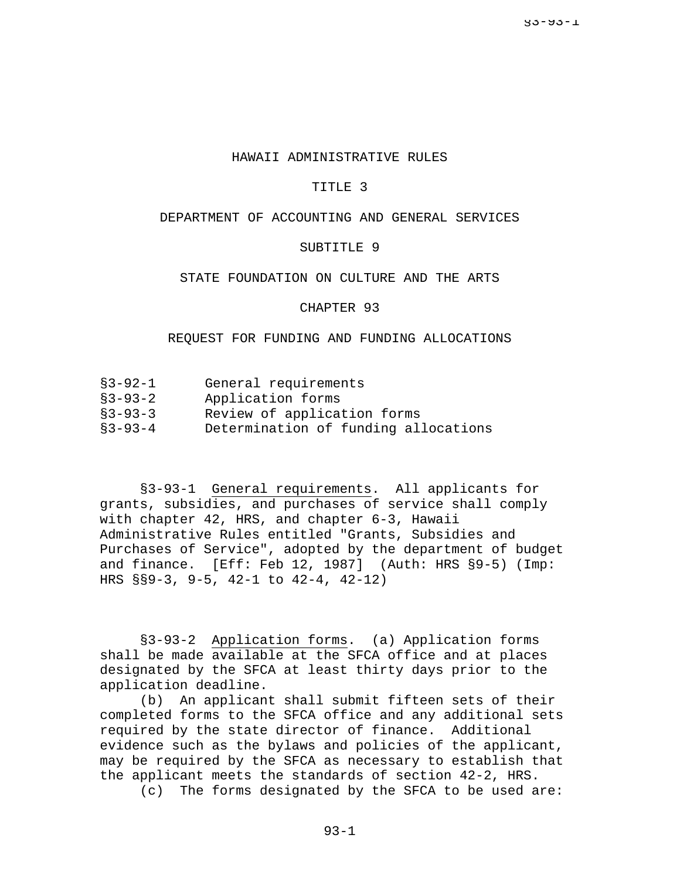#### HAWAII ADMINISTRATIVE RULES

#### TITLE 3

# DEPARTMENT OF ACCOUNTING AND GENERAL SERVICES

#### SUBTITLE 9

## STATE FOUNDATION ON CULTURE AND THE ARTS

### CHAPTER 93

### REQUEST FOR FUNDING AND FUNDING ALLOCATIONS

| $$3 - 92 - 1$        | General requirements |
|----------------------|----------------------|
| $\Box$ $\Box$ $\Box$ |                      |

- §3-93-2 Application forms
- §3-93-3 Review of application forms
- §3-93-4 Determination of funding allocations

§3-93-1 General requirements. All applicants for grants, subsidies, and purchases of service shall comply with chapter 42, HRS, and chapter 6-3, Hawaii Administrative Rules entitled "Grants, Subsidies and Purchases of Service", adopted by the department of budget and finance. [Eff: Feb 12, 1987] (Auth: HRS §9-5) (Imp: HRS §§9-3, 9-5, 42-1 to 42-4, 42-12)

§3-93-2 Application forms. (a) Application forms shall be made available at the SFCA office and at places designated by the SFCA at least thirty days prior to the application deadline.

(b) An applicant shall submit fifteen sets of their completed forms to the SFCA office and any additional sets required by the state director of finance. Additional evidence such as the bylaws and policies of the applicant, may be required by the SFCA as necessary to establish that the applicant meets the standards of section 42-2, HRS.

(c) The forms designated by the SFCA to be used are: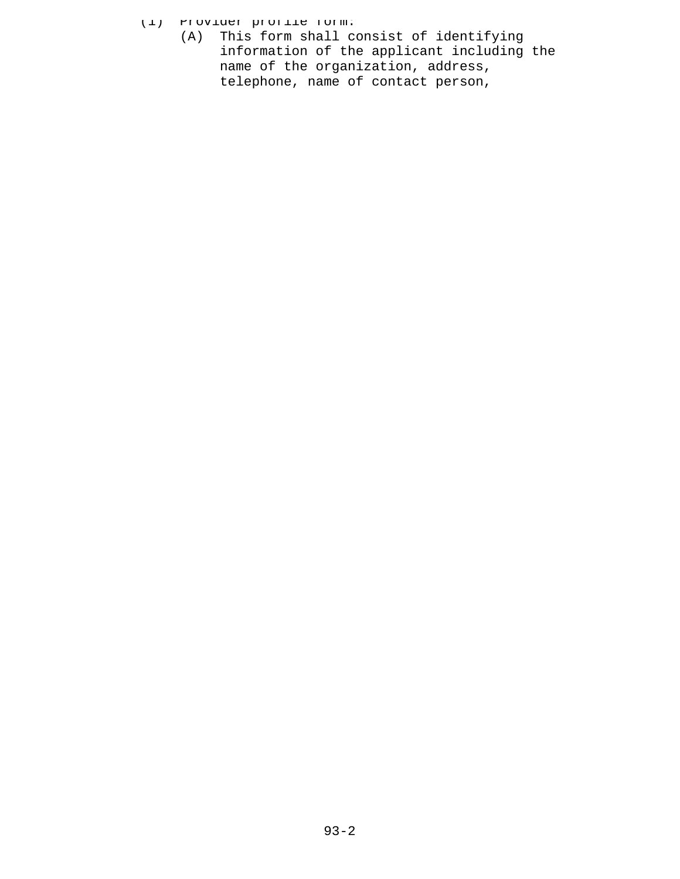- (1) Provider profile form:
	- (A) This form shall consist of identifying information of the applicant including the name of the organization, address, telephone, name of contact person,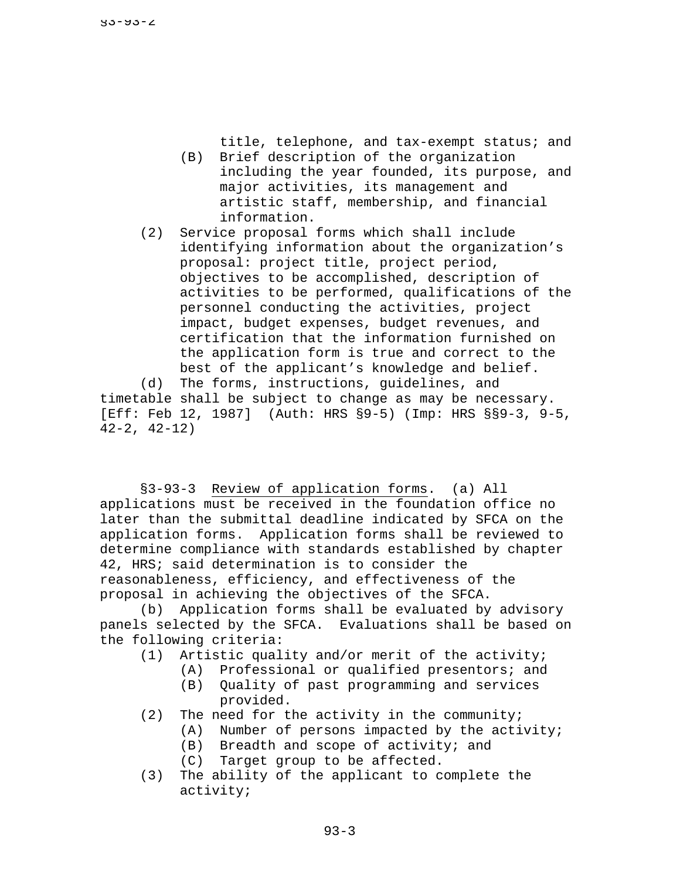title, telephone, and tax-exempt status; and (B) Brief description of the organization

- including the year founded, its purpose, and major activities, its management and artistic staff, membership, and financial information.
- (2) Service proposal forms which shall include identifying information about the organization's proposal: project title, project period, objectives to be accomplished, description of activities to be performed, qualifications of the personnel conducting the activities, project impact, budget expenses, budget revenues, and certification that the information furnished on the application form is true and correct to the best of the applicant's knowledge and belief.

(d) The forms, instructions, guidelines, and timetable shall be subject to change as may be necessary. [Eff: Feb 12, 1987] (Auth: HRS §9-5) (Imp: HRS §§9-3, 9-5, 42-2, 42-12)

§3-93-3 Review of application forms. (a) All applications must be received in the foundation office no later than the submittal deadline indicated by SFCA on the application forms. Application forms shall be reviewed to determine compliance with standards established by chapter 42, HRS; said determination is to consider the reasonableness, efficiency, and effectiveness of the proposal in achieving the objectives of the SFCA.

(b) Application forms shall be evaluated by advisory panels selected by the SFCA. Evaluations shall be based on the following criteria:

- (1) Artistic quality and/or merit of the activity;
	- (A) Professional or qualified presentors; and
	- (B) Quality of past programming and services provided.
- (2) The need for the activity in the community;
	- (A) Number of persons impacted by the activity;
	- (B) Breadth and scope of activity; and
	- (C) Target group to be affected.
- (3) The ability of the applicant to complete the activity;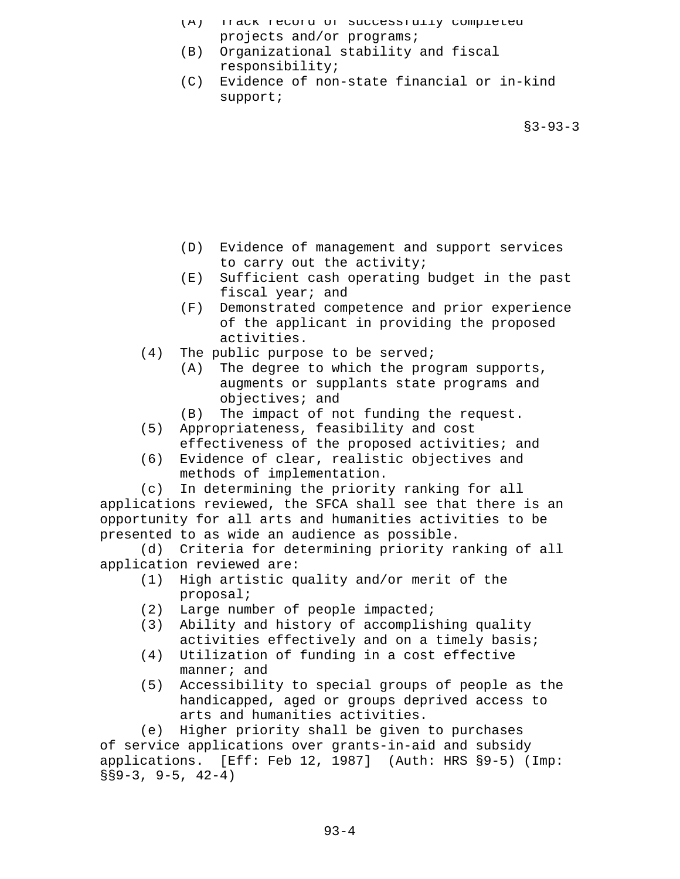- (A) Track record of successfully completed projects and/or programs;
- (B) Organizational stability and fiscal responsibility;
- (C) Evidence of non-state financial or in-kind support;

 $$3 - 93 - 3$ 

- (D) Evidence of management and support services to carry out the activity;
- (E) Sufficient cash operating budget in the past fiscal year; and
- (F) Demonstrated competence and prior experience of the applicant in providing the proposed activities.
- (4) The public purpose to be served;
	- (A) The degree to which the program supports, augments or supplants state programs and objectives; and
	- (B) The impact of not funding the request.
- (5) Appropriateness, feasibility and cost effectiveness of the proposed activities; and
- (6) Evidence of clear, realistic objectives and methods of implementation.

(c) In determining the priority ranking for all applications reviewed, the SFCA shall see that there is an opportunity for all arts and humanities activities to be presented to as wide an audience as possible.

(d) Criteria for determining priority ranking of all application reviewed are:

- (1) High artistic quality and/or merit of the proposal;
- (2) Large number of people impacted;
- (3) Ability and history of accomplishing quality activities effectively and on a timely basis;
- (4) Utilization of funding in a cost effective manner; and
- (5) Accessibility to special groups of people as the handicapped, aged or groups deprived access to arts and humanities activities.

(e) Higher priority shall be given to purchases of service applications over grants-in-aid and subsidy applications. [Eff: Feb 12, 1987] (Auth: HRS §9-5) (Imp:  $§§9-3, 9-5, 42-4)$